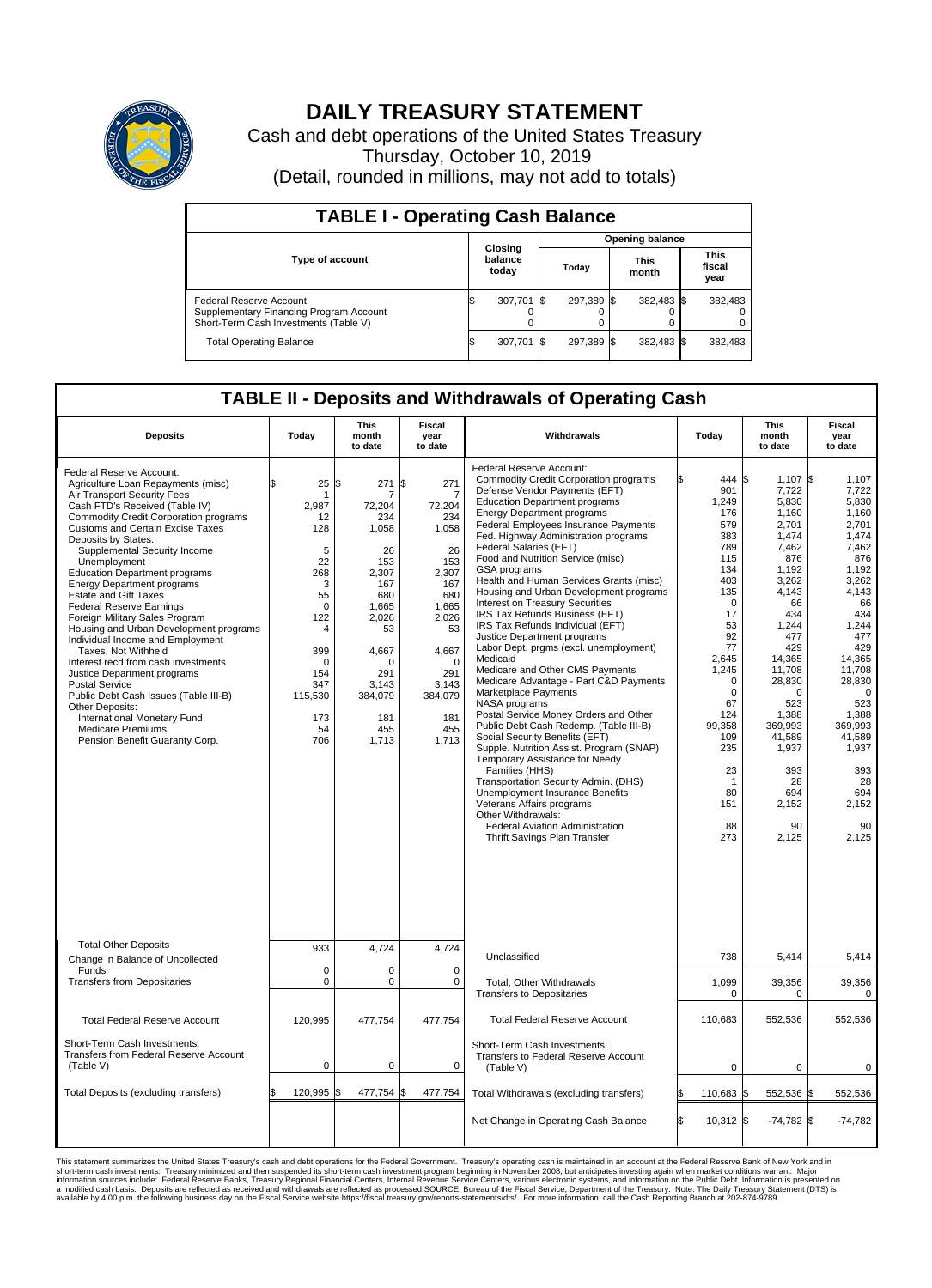

## **DAILY TREASURY STATEMENT**

Cash and debt operations of the United States Treasury Thursday, October 10, 2019 (Detail, rounded in millions, may not add to totals)

| <b>TABLE I - Operating Cash Balance</b>                                                                     |  |                             |  |                        |  |                      |  |                               |  |
|-------------------------------------------------------------------------------------------------------------|--|-----------------------------|--|------------------------|--|----------------------|--|-------------------------------|--|
|                                                                                                             |  |                             |  | <b>Opening balance</b> |  |                      |  |                               |  |
| <b>Type of account</b>                                                                                      |  | Closing<br>balance<br>today |  | Today                  |  | <b>This</b><br>month |  | <b>This</b><br>fiscal<br>year |  |
| Federal Reserve Account<br>Supplementary Financing Program Account<br>Short-Term Cash Investments (Table V) |  | 307,701                     |  | 297.389 \$             |  | 382,483 \$           |  | 382,483                       |  |
| <b>Total Operating Balance</b>                                                                              |  | 307,701                     |  | 297,389 \$             |  | 382,483 \$           |  | 382,483                       |  |

## **TABLE II - Deposits and Withdrawals of Operating Cash**

| <b>Deposits</b>                                                                                                                                                                                                                                                                                                                                                                                                                                                                                                                                                                                                                                                                                                                                                                                                                           | Today                                                                                                                                                     | <b>This</b><br><b>Fiscal</b><br>month<br>year<br>to date<br>to date                                                                                                     |                                                                                                                                                                                             | Withdrawals                                                                                                                                                                                                                                                                                                                                                                                                                                                                                                                                                                                                                                                                                                                                                                                                                                                                                                                                                                                                                                                                                                                                                                                 |                                                                                                                                                                                                                                               | <b>This</b><br>month<br>to date                                                                                                                                                                                                                                            | <b>Fiscal</b><br>year<br>to date                                                                                                                                                                                                                                         |
|-------------------------------------------------------------------------------------------------------------------------------------------------------------------------------------------------------------------------------------------------------------------------------------------------------------------------------------------------------------------------------------------------------------------------------------------------------------------------------------------------------------------------------------------------------------------------------------------------------------------------------------------------------------------------------------------------------------------------------------------------------------------------------------------------------------------------------------------|-----------------------------------------------------------------------------------------------------------------------------------------------------------|-------------------------------------------------------------------------------------------------------------------------------------------------------------------------|---------------------------------------------------------------------------------------------------------------------------------------------------------------------------------------------|---------------------------------------------------------------------------------------------------------------------------------------------------------------------------------------------------------------------------------------------------------------------------------------------------------------------------------------------------------------------------------------------------------------------------------------------------------------------------------------------------------------------------------------------------------------------------------------------------------------------------------------------------------------------------------------------------------------------------------------------------------------------------------------------------------------------------------------------------------------------------------------------------------------------------------------------------------------------------------------------------------------------------------------------------------------------------------------------------------------------------------------------------------------------------------------------|-----------------------------------------------------------------------------------------------------------------------------------------------------------------------------------------------------------------------------------------------|----------------------------------------------------------------------------------------------------------------------------------------------------------------------------------------------------------------------------------------------------------------------------|--------------------------------------------------------------------------------------------------------------------------------------------------------------------------------------------------------------------------------------------------------------------------|
| Federal Reserve Account:<br>Agriculture Loan Repayments (misc)<br>Air Transport Security Fees<br>Cash FTD's Received (Table IV)<br><b>Commodity Credit Corporation programs</b><br><b>Customs and Certain Excise Taxes</b><br>Deposits by States:<br>Supplemental Security Income<br>Unemployment<br><b>Education Department programs</b><br><b>Energy Department programs</b><br><b>Estate and Gift Taxes</b><br><b>Federal Reserve Earnings</b><br>Foreign Military Sales Program<br>Housing and Urban Development programs<br>Individual Income and Employment<br>Taxes. Not Withheld<br>Interest recd from cash investments<br>Justice Department programs<br>Postal Service<br>Public Debt Cash Issues (Table III-B)<br>Other Deposits:<br>International Monetary Fund<br><b>Medicare Premiums</b><br>Pension Benefit Guaranty Corp. | 25<br>-1<br>2,987<br>12<br>128<br>5<br>22<br>268<br>3<br>55<br>$\mathbf 0$<br>122<br>4<br>399<br>$\mathbf 0$<br>154<br>347<br>115,530<br>173<br>54<br>706 | l\$<br>271<br>72,204<br>234<br>1.058<br>26<br>153<br>2,307<br>167<br>680<br>1,665<br>2,026<br>53<br>4,667<br>$\Omega$<br>291<br>3,143<br>384,079<br>181<br>455<br>1,713 | \$<br>271<br>$\overline{7}$<br>72,204<br>234<br>1,058<br>26<br>153<br>2,307<br>167<br>680<br>1,665<br>2,026<br>53<br>4,667<br>$\mathbf 0$<br>291<br>3,143<br>384,079<br>181<br>455<br>1,713 | Federal Reserve Account:<br><b>Commodity Credit Corporation programs</b><br>Defense Vendor Payments (EFT)<br><b>Education Department programs</b><br><b>Energy Department programs</b><br>Federal Employees Insurance Payments<br>Fed. Highway Administration programs<br>Federal Salaries (EFT)<br>Food and Nutrition Service (misc)<br>GSA programs<br>Health and Human Services Grants (misc)<br>Housing and Urban Development programs<br>Interest on Treasury Securities<br>IRS Tax Refunds Business (EFT)<br>IRS Tax Refunds Individual (EFT)<br>Justice Department programs<br>Labor Dept. prgms (excl. unemployment)<br>Medicaid<br>Medicare and Other CMS Payments<br>Medicare Advantage - Part C&D Payments<br>Marketplace Payments<br>NASA programs<br>Postal Service Money Orders and Other<br>Public Debt Cash Redemp. (Table III-B)<br>Social Security Benefits (EFT)<br>Supple. Nutrition Assist. Program (SNAP)<br>Temporary Assistance for Needy<br>Families (HHS)<br>Transportation Security Admin. (DHS)<br>Unemployment Insurance Benefits<br>Veterans Affairs programs<br>Other Withdrawals:<br><b>Federal Aviation Administration</b><br>Thrift Savings Plan Transfer | 444 \$<br>901<br>1,249<br>176<br>579<br>383<br>789<br>115<br>134<br>403<br>135<br>$\Omega$<br>17<br>53<br>92<br>77<br>2.645<br>1,245<br>$\mathbf 0$<br>$\mathbf 0$<br>67<br>124<br>99.358<br>109<br>235<br>23<br>-1<br>80<br>151<br>88<br>273 | $1,107$ \$<br>7,722<br>5,830<br>1,160<br>2,701<br>1.474<br>7,462<br>876<br>1,192<br>3,262<br>4,143<br>66<br>434<br>1,244<br>477<br>429<br>14,365<br>11,708<br>28,830<br>$\Omega$<br>523<br>1,388<br>369.993<br>41,589<br>1,937<br>393<br>28<br>694<br>2,152<br>90<br>2,125 | 1,107<br>7,722<br>5,830<br>1,160<br>2,701<br>1.474<br>7,462<br>876<br>1.192<br>3,262<br>4,143<br>66<br>434<br>1,244<br>477<br>429<br>14.365<br>11,708<br>28,830<br>$\mathbf 0$<br>523<br>1,388<br>369.993<br>41,589<br>1,937<br>393<br>28<br>694<br>2,152<br>90<br>2,125 |
| <b>Total Other Deposits</b><br>Change in Balance of Uncollected                                                                                                                                                                                                                                                                                                                                                                                                                                                                                                                                                                                                                                                                                                                                                                           | 933                                                                                                                                                       | 4,724                                                                                                                                                                   | 4,724                                                                                                                                                                                       | Unclassified                                                                                                                                                                                                                                                                                                                                                                                                                                                                                                                                                                                                                                                                                                                                                                                                                                                                                                                                                                                                                                                                                                                                                                                | 738                                                                                                                                                                                                                                           | 5,414                                                                                                                                                                                                                                                                      | 5,414                                                                                                                                                                                                                                                                    |
| Funds<br><b>Transfers from Depositaries</b>                                                                                                                                                                                                                                                                                                                                                                                                                                                                                                                                                                                                                                                                                                                                                                                               | $\mathbf 0$<br>$\mathbf 0$                                                                                                                                | $\mathbf 0$<br>$\mathbf 0$                                                                                                                                              | $\mathbf 0$<br>$\mathbf 0$                                                                                                                                                                  | Total, Other Withdrawals<br><b>Transfers to Depositaries</b>                                                                                                                                                                                                                                                                                                                                                                                                                                                                                                                                                                                                                                                                                                                                                                                                                                                                                                                                                                                                                                                                                                                                | 1,099<br>0                                                                                                                                                                                                                                    | 39,356<br>0                                                                                                                                                                                                                                                                | 39,356<br>0                                                                                                                                                                                                                                                              |
| <b>Total Federal Reserve Account</b>                                                                                                                                                                                                                                                                                                                                                                                                                                                                                                                                                                                                                                                                                                                                                                                                      | 120,995                                                                                                                                                   | 477,754                                                                                                                                                                 | 477,754                                                                                                                                                                                     | <b>Total Federal Reserve Account</b>                                                                                                                                                                                                                                                                                                                                                                                                                                                                                                                                                                                                                                                                                                                                                                                                                                                                                                                                                                                                                                                                                                                                                        | 110,683                                                                                                                                                                                                                                       | 552,536                                                                                                                                                                                                                                                                    | 552,536                                                                                                                                                                                                                                                                  |
| Short-Term Cash Investments:<br>Transfers from Federal Reserve Account<br>(Table V)                                                                                                                                                                                                                                                                                                                                                                                                                                                                                                                                                                                                                                                                                                                                                       | $\pmb{0}$                                                                                                                                                 | $\pmb{0}$                                                                                                                                                               | 0                                                                                                                                                                                           | Short-Term Cash Investments:<br>Transfers to Federal Reserve Account<br>(Table V)                                                                                                                                                                                                                                                                                                                                                                                                                                                                                                                                                                                                                                                                                                                                                                                                                                                                                                                                                                                                                                                                                                           | $\mathbf 0$                                                                                                                                                                                                                                   | $\mathbf 0$                                                                                                                                                                                                                                                                | $\mathbf 0$                                                                                                                                                                                                                                                              |
| Total Deposits (excluding transfers)                                                                                                                                                                                                                                                                                                                                                                                                                                                                                                                                                                                                                                                                                                                                                                                                      | 120,995                                                                                                                                                   | 477,754                                                                                                                                                                 | 477,754                                                                                                                                                                                     | Total Withdrawals (excluding transfers)                                                                                                                                                                                                                                                                                                                                                                                                                                                                                                                                                                                                                                                                                                                                                                                                                                                                                                                                                                                                                                                                                                                                                     | 110,683 \$                                                                                                                                                                                                                                    | 552,536 \$                                                                                                                                                                                                                                                                 | 552,536                                                                                                                                                                                                                                                                  |
|                                                                                                                                                                                                                                                                                                                                                                                                                                                                                                                                                                                                                                                                                                                                                                                                                                           |                                                                                                                                                           |                                                                                                                                                                         |                                                                                                                                                                                             | Net Change in Operating Cash Balance                                                                                                                                                                                                                                                                                                                                                                                                                                                                                                                                                                                                                                                                                                                                                                                                                                                                                                                                                                                                                                                                                                                                                        | $10,312$ \$                                                                                                                                                                                                                                   | $-74,782$ \$                                                                                                                                                                                                                                                               | $-74,782$                                                                                                                                                                                                                                                                |

This statement summarizes the United States Treasury's cash and debt operations for the Federal Government. Treasury soperating in November 2008, but anticiarded in a cocount at the Federal metaformation sources investment